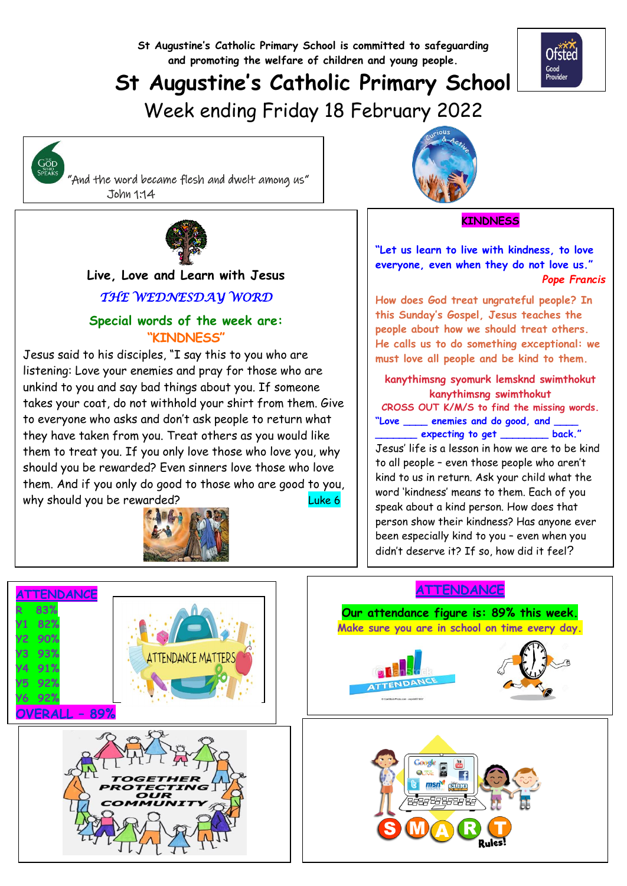**St Augustine's Catholic Primary School is committed to safeguarding and promoting the welfare of children and young people.**

# **St Augustine's Catholic Primary School**

Week ending Friday 18 February 2022



 "And the word became flesh and dwelt among us" John 1:14



  **Live, Love and Learn with Jesus** *THE WEDNESDAY WORD* 

#### **Special words of the week are: "KINDNESS"**

Jesus said to his disciples, "I say this to you who are listening: Love your enemies and pray for those who are unkind to you and say bad things about you. If someone takes your coat, do not withhold your shirt from them. Give to everyone who asks and don't ask people to return what they have taken from you. Treat others as you would like them to treat you. If you only love those who love you, why should you be rewarded? Even sinners love those who love them. And if you only do good to those who are good to you, why should you be rewarded? The control of the should you be rewarded?





#### **KINDNESS**

Ofsted Good<br>Provider

**"Let us learn to live with kindness, to love everyone, even when they do not love us."** *Pope Francis*

**How does God treat ungrateful people? In this Sunday's Gospel, Jesus teaches the people about how we should treat others. He calls us to do something exceptional: we must love all people and be kind to them.**

**kanythimsng syomurk lemsknd swimthokut kanythimsng swimthokut CROSS OUT K/M/S to find the missing words. "Love \_\_\_\_ enemies and do good, and \_\_\_\_ \_\_\_\_\_\_\_ expecting to get \_\_\_\_\_\_\_\_ back."** Jesus' life is a lesson in how we are to be kind to all people – even those people who aren't

kind to us in return. Ask your child what the word 'kindness' means to them. Each of you speak about a kind person. How does that person show their kindness? Has anyone ever been especially kind to you – even when you didn't deserve it? If so, how did it feel?



## **ATTENDANCE**